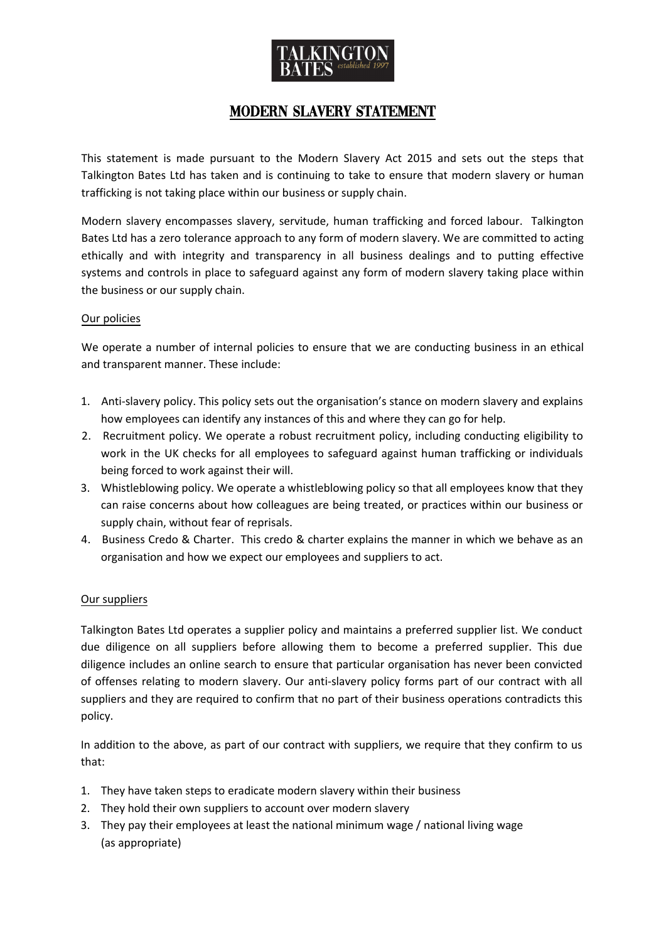

# Modern slavery statement

This statement is made pursuant to the Modern Slavery Act 2015 and sets out the steps that Talkington Bates Ltd has taken and is continuing to take to ensure that modern slavery or human trafficking is not taking place within our business or supply chain.

Modern slavery encompasses slavery, servitude, human trafficking and forced labour. Talkington Bates Ltd has a zero tolerance approach to any form of modern slavery. We are committed to acting ethically and with integrity and transparency in all business dealings and to putting effective systems and controls in place to safeguard against any form of modern slavery taking place within the business or our supply chain.

#### Our policies

We operate a number of internal policies to ensure that we are conducting business in an ethical and transparent manner. These include:

- 1. Anti-slavery policy. This policy sets out the organisation's stance on modern slavery and explains how employees can identify any instances of this and where they can go for help.
- 2. Recruitment policy. We operate a robust recruitment policy, including conducting eligibility to work in the UK checks for all employees to safeguard against human trafficking or individuals being forced to work against their will.
- 3. Whistleblowing policy. We operate a whistleblowing policy so that all employees know that they can raise concerns about how colleagues are being treated, or practices within our business or supply chain, without fear of reprisals.
- 4. Business Credo & Charter. This credo & charter explains the manner in which we behave as an organisation and how we expect our employees and suppliers to act.

# Our suppliers

Talkington Bates Ltd operates a supplier policy and maintains a preferred supplier list. We conduct due diligence on all suppliers before allowing them to become a preferred supplier. This due diligence includes an online search to ensure that particular organisation has never been convicted of offenses relating to modern slavery. Our anti-slavery policy forms part of our contract with all suppliers and they are required to confirm that no part of their business operations contradicts this policy.

In addition to the above, as part of our contract with suppliers, we require that they confirm to us that:

- 1. They have taken steps to eradicate modern slavery within their business
- 2. They hold their own suppliers to account over modern slavery
- 3. They pay their employees at least the national minimum wage / national living wage (as appropriate)